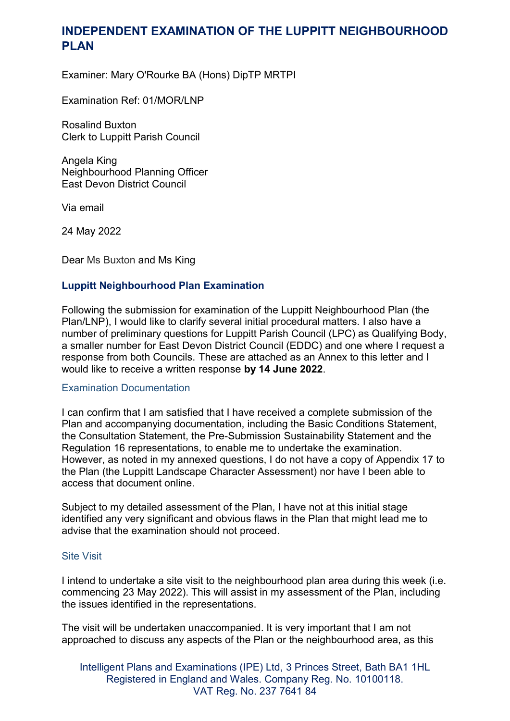# **INDEPENDENT EXAMINATION OF THE LUPPITT NEIGHBOURHOOD PLAN**

Examiner: Mary O'Rourke BA (Hons) DipTP MRTPI

Examination Ref: 01/MOR/LNP

Rosalind Buxton Clerk to Luppitt Parish Council

Angela King Neighbourhood Planning Officer East Devon District Council

Via email

24 May 2022

Dear Ms Buxton and Ms King

# **Luppitt Neighbourhood Plan Examination**

Following the submission for examination of the Luppitt Neighbourhood Plan (the Plan/LNP), I would like to clarify several initial procedural matters. I also have a number of preliminary questions for Luppitt Parish Council (LPC) as Qualifying Body, a smaller number for East Devon District Council (EDDC) and one where I request a response from both Councils. These are attached as an Annex to this letter and I would like to receive a written response **by 14 June 2022**.

## Examination Documentation

I can confirm that I am satisfied that I have received a complete submission of the Plan and accompanying documentation, including the Basic Conditions Statement, the Consultation Statement, the Pre-Submission Sustainability Statement and the Regulation 16 representations, to enable me to undertake the examination. However, as noted in my annexed questions, I do not have a copy of Appendix 17 to the Plan (the Luppitt Landscape Character Assessment) nor have I been able to access that document online.

Subject to my detailed assessment of the Plan, I have not at this initial stage identified any very significant and obvious flaws in the Plan that might lead me to advise that the examination should not proceed.

## Site Visit

I intend to undertake a site visit to the neighbourhood plan area during this week (i.e. commencing 23 May 2022). This will assist in my assessment of the Plan, including the issues identified in the representations.

The visit will be undertaken unaccompanied. It is very important that I am not approached to discuss any aspects of the Plan or the neighbourhood area, as this

Intelligent Plans and Examinations (IPE) Ltd, 3 Princes Street, Bath BA1 1HL Registered in England and Wales. Company Reg. No. 10100118. VAT Reg. No. 237 7641 84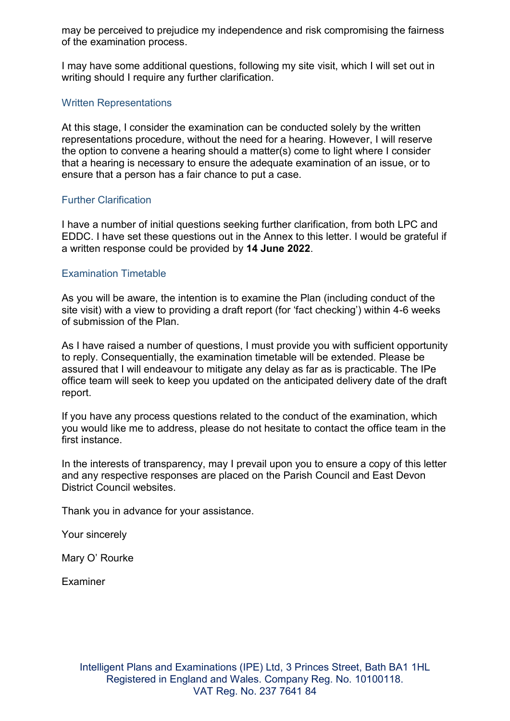may be perceived to prejudice my independence and risk compromising the fairness of the examination process.

I may have some additional questions, following my site visit, which I will set out in writing should I require any further clarification.

#### Written Representations

At this stage, I consider the examination can be conducted solely by the written representations procedure, without the need for a hearing. However, I will reserve the option to convene a hearing should a matter(s) come to light where I consider that a hearing is necessary to ensure the adequate examination of an issue, or to ensure that a person has a fair chance to put a case.

## Further Clarification

I have a number of initial questions seeking further clarification, from both LPC and EDDC. I have set these questions out in the Annex to this letter. I would be grateful if a written response could be provided by **14 June 2022**.

#### Examination Timetable

As you will be aware, the intention is to examine the Plan (including conduct of the site visit) with a view to providing a draft report (for 'fact checking') within 4-6 weeks of submission of the Plan.

As I have raised a number of questions, I must provide you with sufficient opportunity to reply. Consequentially, the examination timetable will be extended. Please be assured that I will endeavour to mitigate any delay as far as is practicable. The IPe office team will seek to keep you updated on the anticipated delivery date of the draft report.

If you have any process questions related to the conduct of the examination, which you would like me to address, please do not hesitate to contact the office team in the first instance

In the interests of transparency, may I prevail upon you to ensure a copy of this letter and any respective responses are placed on the Parish Council and East Devon District Council websites.

Thank you in advance for your assistance.

Your sincerely

Mary O' Rourke

Examiner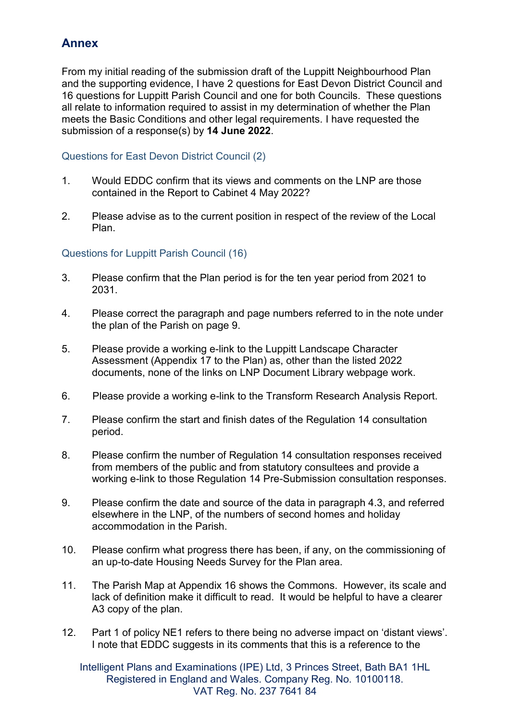# **Annex**

From my initial reading of the submission draft of the Luppitt Neighbourhood Plan and the supporting evidence, I have 2 questions for East Devon District Council and 16 questions for Luppitt Parish Council and one for both Councils. These questions all relate to information required to assist in my determination of whether the Plan meets the Basic Conditions and other legal requirements. I have requested the submission of a response(s) by **14 June 2022**.

# Questions for East Devon District Council (2)

- 1. Would EDDC confirm that its views and comments on the LNP are those contained in the Report to Cabinet 4 May 2022?
- 2. Please advise as to the current position in respect of the review of the Local Plan.

# Questions for Luppitt Parish Council (16)

- 3. Please confirm that the Plan period is for the ten year period from 2021 to 2031.
- 4. Please correct the paragraph and page numbers referred to in the note under the plan of the Parish on page 9.
- 5. Please provide a working e-link to the Luppitt Landscape Character Assessment (Appendix 17 to the Plan) as, other than the listed 2022 documents, none of the links on LNP Document Library webpage work.
- 6. Please provide a working e-link to the Transform Research Analysis Report.
- 7. Please confirm the start and finish dates of the Regulation 14 consultation period.
- 8. Please confirm the number of Regulation 14 consultation responses received from members of the public and from statutory consultees and provide a working e-link to those Regulation 14 Pre-Submission consultation responses.
- 9. Please confirm the date and source of the data in paragraph 4.3, and referred elsewhere in the LNP, of the numbers of second homes and holiday accommodation in the Parish.
- 10. Please confirm what progress there has been, if any, on the commissioning of an up-to-date Housing Needs Survey for the Plan area.
- 11. The Parish Map at Appendix 16 shows the Commons. However, its scale and lack of definition make it difficult to read. It would be helpful to have a clearer A3 copy of the plan.
- 12. Part 1 of policy NE1 refers to there being no adverse impact on 'distant views'. I note that EDDC suggests in its comments that this is a reference to the

Intelligent Plans and Examinations (IPE) Ltd, 3 Princes Street, Bath BA1 1HL Registered in England and Wales. Company Reg. No. 10100118. VAT Reg. No. 237 7641 84